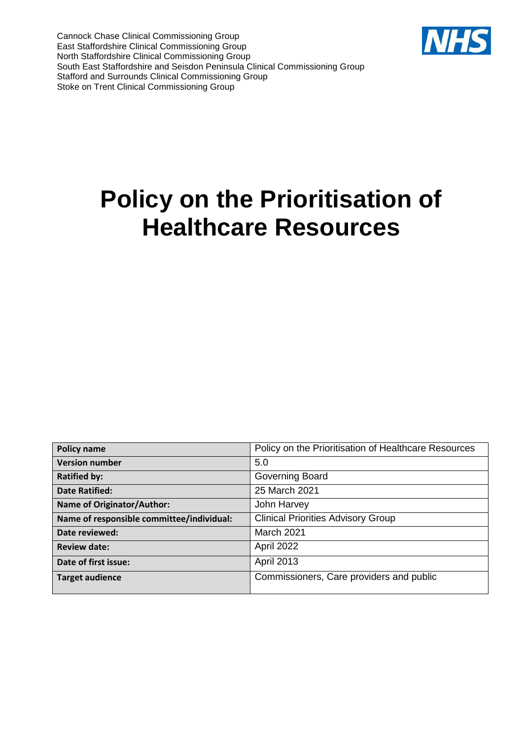Cannock Chase Clinical Commissioning Group East Staffordshire Clinical Commissioning Group North Staffordshire Clinical Commissioning Group South East Staffordshire and Seisdon Peninsula Clinical Commissioning Group Stafford and Surrounds Clinical Commissioning Group Stoke on Trent Clinical Commissioning Group



| <b>Policy name</b>                        | Policy on the Prioritisation of Healthcare Resources |
|-------------------------------------------|------------------------------------------------------|
| <b>Version number</b>                     | 5.0                                                  |
| <b>Ratified by:</b>                       | Governing Board                                      |
| <b>Date Ratified:</b>                     | 25 March 2021                                        |
| <b>Name of Originator/Author:</b>         | John Harvey                                          |
| Name of responsible committee/individual: | <b>Clinical Priorities Advisory Group</b>            |
| Date reviewed:                            | <b>March 2021</b>                                    |
| <b>Review date:</b>                       | April 2022                                           |
| Date of first issue:                      | <b>April 2013</b>                                    |
| <b>Target audience</b>                    | Commissioners, Care providers and public             |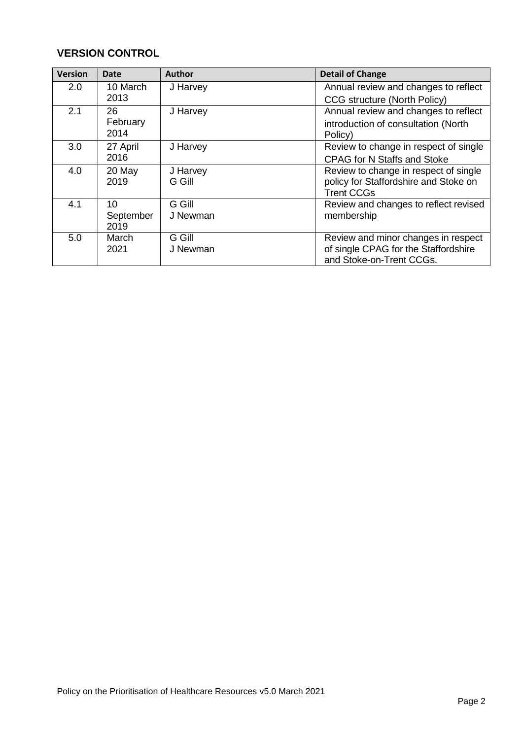# **VERSION CONTROL**

| <b>Version</b> | Date      | <b>Author</b> | <b>Detail of Change</b>               |
|----------------|-----------|---------------|---------------------------------------|
| 2.0            | 10 March  | J Harvey      | Annual review and changes to reflect  |
|                | 2013      |               | CCG structure (North Policy)          |
| 2.1            | 26        | J Harvey      | Annual review and changes to reflect  |
|                | February  |               | introduction of consultation (North   |
|                | 2014      |               | Policy)                               |
| 3.0            | 27 April  | J Harvey      | Review to change in respect of single |
|                | 2016      |               | <b>CPAG for N Staffs and Stoke</b>    |
| 4.0            | 20 May    | J Harvey      | Review to change in respect of single |
|                | 2019      | G Gill        | policy for Staffordshire and Stoke on |
|                |           |               | <b>Trent CCGs</b>                     |
| 4.1            | 10        | G Gill        | Review and changes to reflect revised |
|                | September | J Newman      | membership                            |
|                | 2019      |               |                                       |
| 5.0            | March     | G Gill        | Review and minor changes in respect   |
|                | 2021      | J Newman      | of single CPAG for the Staffordshire  |
|                |           |               | and Stoke-on-Trent CCGs.              |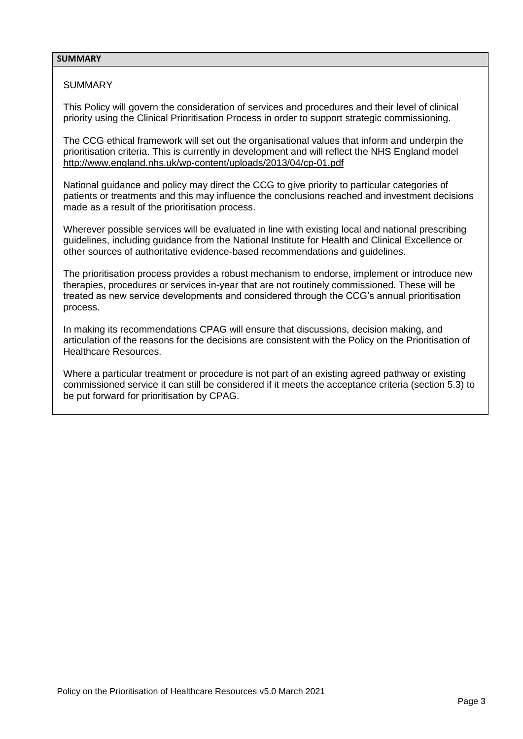## **SUMMARY**

# **SUMMARY**

This Policy will govern the consideration of services and procedures and their level of clinical priority using the Clinical Prioritisation Process in order to support strategic commissioning.

The CCG ethical framework will set out the organisational values that inform and underpin the prioritisation criteria. This is currently in development and will reflect the NHS England model <http://www.england.nhs.uk/wp-content/uploads/2013/04/cp-01.pdf>

National guidance and policy may direct the CCG to give priority to particular categories of patients or treatments and this may influence the conclusions reached and investment decisions made as a result of the prioritisation process.

Wherever possible services will be evaluated in line with existing local and national prescribing guidelines, including guidance from the National Institute for Health and Clinical Excellence or other sources of authoritative evidence-based recommendations and guidelines.

The prioritisation process provides a robust mechanism to endorse, implement or introduce new therapies, procedures or services in-year that are not routinely commissioned. These will be treated as new service developments and considered through the CCG's annual prioritisation process.

In making its recommendations CPAG will ensure that discussions, decision making, and articulation of the reasons for the decisions are consistent with the Policy on the Prioritisation of Healthcare Resources.

Where a particular treatment or procedure is not part of an existing agreed pathway or existing commissioned service it can still be considered if it meets the acceptance criteria (section 5.3) to be put forward for prioritisation by CPAG.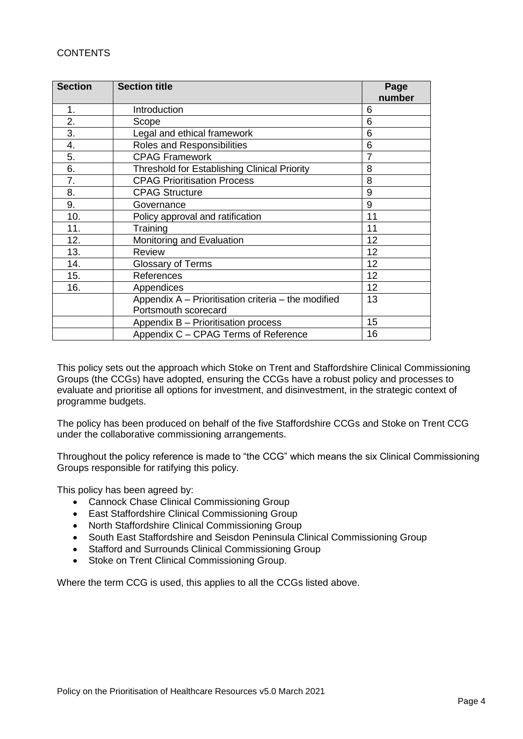# **CONTENTS**

| <b>Section</b> | <b>Section title</b>                                | Page           |
|----------------|-----------------------------------------------------|----------------|
|                |                                                     | number         |
| 1.             | Introduction                                        | 6              |
| 2.             | Scope                                               | 6              |
| 3.             | Legal and ethical framework                         | 6              |
| 4.             | <b>Roles and Responsibilities</b>                   | 6              |
| 5.             | <b>CPAG Framework</b>                               | $\overline{7}$ |
| 6.             | Threshold for Establishing Clinical Priority        | 8              |
| 7.             | <b>CPAG Prioritisation Process</b>                  | 8              |
| 8.             | <b>CPAG Structure</b>                               | 9              |
| 9.             | Governance                                          | 9              |
| 10.            | Policy approval and ratification                    | 11             |
| 11.            | Training                                            | 11             |
| 12.            | Monitoring and Evaluation                           | 12             |
| 13.            | <b>Review</b>                                       | 12             |
| 14.            | <b>Glossary of Terms</b>                            | 12             |
| 15.            | References                                          | 12             |
| 16.            | Appendices                                          | 12             |
|                | Appendix A – Prioritisation criteria – the modified | 13             |
|                | Portsmouth scorecard                                |                |
|                | Appendix B - Prioritisation process                 | 15             |
|                | Appendix C - CPAG Terms of Reference                | 16             |

This policy sets out the approach which Stoke on Trent and Staffordshire Clinical Commissioning Groups (the CCGs) have adopted, ensuring the CCGs have a robust policy and processes to evaluate and prioritise all options for investment, and disinvestment, in the strategic context of programme budgets.

The policy has been produced on behalf of the five Staffordshire CCGs and Stoke on Trent CCG under the collaborative commissioning arrangements.

Throughout the policy reference is made to "the CCG" which means the six Clinical Commissioning Groups responsible for ratifying this policy.

This policy has been agreed by:

- Cannock Chase Clinical Commissioning Group
- East Staffordshire Clinical Commissioning Group
- North Staffordshire Clinical Commissioning Group
- South East Staffordshire and Seisdon Peninsula Clinical Commissioning Group
- Stafford and Surrounds Clinical Commissioning Group
- Stoke on Trent Clinical Commissioning Group.

Where the term CCG is used, this applies to all the CCGs listed above.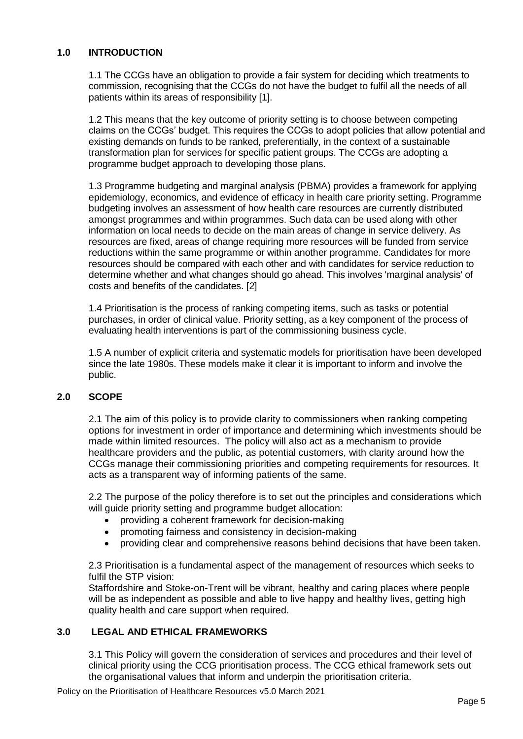# **1.0 INTRODUCTION**

1.1 The CCGs have an obligation to provide a fair system for deciding which treatments to commission, recognising that the CCGs do not have the budget to fulfil all the needs of all patients within its areas of responsibility [1].

1.2 This means that the key outcome of priority setting is to choose between competing claims on the CCGs' budget. This requires the CCGs to adopt policies that allow potential and existing demands on funds to be ranked, preferentially, in the context of a sustainable transformation plan for services for specific patient groups. The CCGs are adopting a programme budget approach to developing those plans.

1.3 Programme budgeting and marginal analysis (PBMA) provides a framework for applying epidemiology, economics, and evidence of efficacy in health care priority setting. Programme budgeting involves an assessment of how health care resources are currently distributed amongst programmes and within programmes. Such data can be used along with other information on local needs to decide on the main areas of change in service delivery. As resources are fixed, areas of change requiring more resources will be funded from service reductions within the same programme or within another programme. Candidates for more resources should be compared with each other and with candidates for service reduction to determine whether and what changes should go ahead. This involves 'marginal analysis' of costs and benefits of the candidates. [2]

1.4 Prioritisation is the process of ranking competing items, such as tasks or potential purchases, in order of clinical value. Priority setting, as a key component of the process of evaluating health interventions is part of the commissioning business cycle.

1.5 A number of explicit criteria and systematic models for prioritisation have been developed since the late 1980s. These models make it clear it is important to inform and involve the public.

# **2.0 SCOPE**

2.1 The aim of this policy is to provide clarity to commissioners when ranking competing options for investment in order of importance and determining which investments should be made within limited resources. The policy will also act as a mechanism to provide healthcare providers and the public, as potential customers, with clarity around how the CCGs manage their commissioning priorities and competing requirements for resources. It acts as a transparent way of informing patients of the same.

2.2 The purpose of the policy therefore is to set out the principles and considerations which will guide priority setting and programme budget allocation:

- providing a coherent framework for decision-making
- promoting fairness and consistency in decision-making
- providing clear and comprehensive reasons behind decisions that have been taken.

2.3 Prioritisation is a fundamental aspect of the management of resources which seeks to fulfil the STP vision:

Staffordshire and Stoke-on-Trent will be vibrant, healthy and caring places where people will be as independent as possible and able to live happy and healthy lives, getting high quality health and care support when required.

# **3.0 LEGAL AND ETHICAL FRAMEWORKS**

3.1 This Policy will govern the consideration of services and procedures and their level of clinical priority using the CCG prioritisation process. The CCG ethical framework sets out the organisational values that inform and underpin the prioritisation criteria.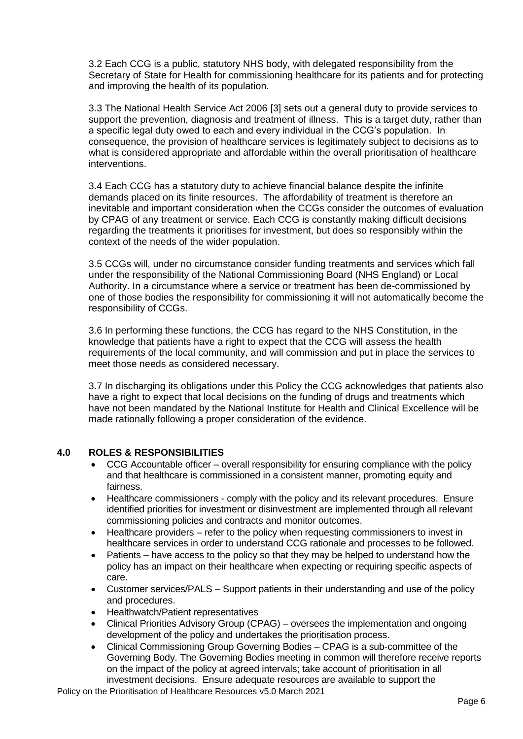3.2 Each CCG is a public, statutory NHS body, with delegated responsibility from the Secretary of State for Health for commissioning healthcare for its patients and for protecting and improving the health of its population.

3.3 The National Health Service Act 2006 [3] sets out a general duty to provide services to support the prevention, diagnosis and treatment of illness. This is a target duty, rather than a specific legal duty owed to each and every individual in the CCG's population. In consequence, the provision of healthcare services is legitimately subject to decisions as to what is considered appropriate and affordable within the overall prioritisation of healthcare interventions.

3.4 Each CCG has a statutory duty to achieve financial balance despite the infinite demands placed on its finite resources. The affordability of treatment is therefore an inevitable and important consideration when the CCGs consider the outcomes of evaluation by CPAG of any treatment or service. Each CCG is constantly making difficult decisions regarding the treatments it prioritises for investment, but does so responsibly within the context of the needs of the wider population.

3.5 CCGs will, under no circumstance consider funding treatments and services which fall under the responsibility of the National Commissioning Board (NHS England) or Local Authority. In a circumstance where a service or treatment has been de-commissioned by one of those bodies the responsibility for commissioning it will not automatically become the responsibility of CCGs.

3.6 In performing these functions, the CCG has regard to the NHS Constitution, in the knowledge that patients have a right to expect that the CCG will assess the health requirements of the local community, and will commission and put in place the services to meet those needs as considered necessary.

3.7 In discharging its obligations under this Policy the CCG acknowledges that patients also have a right to expect that local decisions on the funding of drugs and treatments which have not been mandated by the National Institute for Health and Clinical Excellence will be made rationally following a proper consideration of the evidence.

# **4.0 ROLES & RESPONSIBILITIES**

- CCG Accountable officer overall responsibility for ensuring compliance with the policy and that healthcare is commissioned in a consistent manner, promoting equity and fairness.
- Healthcare commissioners comply with the policy and its relevant procedures. Ensure identified priorities for investment or disinvestment are implemented through all relevant commissioning policies and contracts and monitor outcomes.
- Healthcare providers refer to the policy when requesting commissioners to invest in healthcare services in order to understand CCG rationale and processes to be followed.
- Patients have access to the policy so that they may be helped to understand how the policy has an impact on their healthcare when expecting or requiring specific aspects of care.
- Customer services/PALS Support patients in their understanding and use of the policy and procedures.
- Healthwatch/Patient representatives
- Clinical Priorities Advisory Group (CPAG) oversees the implementation and ongoing development of the policy and undertakes the prioritisation process.
- Clinical Commissioning Group Governing Bodies CPAG is a sub-committee of the Governing Body. The Governing Bodies meeting in common will therefore receive reports on the impact of the policy at agreed intervals; take account of prioritisation in all investment decisions. Ensure adequate resources are available to support the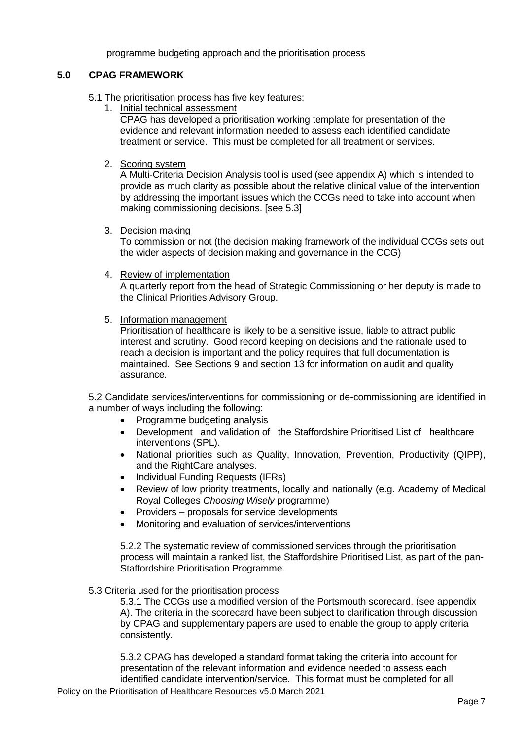programme budgeting approach and the prioritisation process

# **5.0 CPAG FRAMEWORK**

- 5.1 The prioritisation process has five key features:
	- 1. Initial technical assessment

CPAG has developed a prioritisation working template for presentation of the evidence and relevant information needed to assess each identified candidate treatment or service. This must be completed for all treatment or services.

2. Scoring system

A Multi-Criteria Decision Analysis tool is used (see appendix A) which is intended to provide as much clarity as possible about the relative clinical value of the intervention by addressing the important issues which the CCGs need to take into account when making commissioning decisions. [see 5.3]

3. Decision making

To commission or not (the decision making framework of the individual CCGs sets out the wider aspects of decision making and governance in the CCG)

- 4. Review of implementation A quarterly report from the head of Strategic Commissioning or her deputy is made to the Clinical Priorities Advisory Group.
- 5. Information management

Prioritisation of healthcare is likely to be a sensitive issue, liable to attract public interest and scrutiny. Good record keeping on decisions and the rationale used to reach a decision is important and the policy requires that full documentation is maintained. See Sections 9 and section 13 for information on audit and quality assurance.

5.2 Candidate services/interventions for commissioning or de-commissioning are identified in a number of ways including the following:

- Programme budgeting analysis
- Development and validation of the Staffordshire Prioritised List of healthcare interventions (SPL).
- National priorities such as Quality, Innovation, Prevention, Productivity (QIPP), and the RightCare analyses.
- Individual Funding Requests (IFRs)
- Review of low priority treatments, locally and nationally (e.g. Academy of Medical Royal Colleges *Choosing Wisely* programme)
- Providers proposals for service developments
- Monitoring and evaluation of services/interventions

5.2.2 The systematic review of commissioned services through the prioritisation process will maintain a ranked list, the Staffordshire Prioritised List, as part of the pan-Staffordshire Prioritisation Programme.

# 5.3 Criteria used for the prioritisation process

5.3.1 The CCGs use a modified version of the Portsmouth scorecard. (see appendix A). The criteria in the scorecard have been subject to clarification through discussion by CPAG and supplementary papers are used to enable the group to apply criteria consistently.

5.3.2 CPAG has developed a standard format taking the criteria into account for presentation of the relevant information and evidence needed to assess each identified candidate intervention/service. This format must be completed for all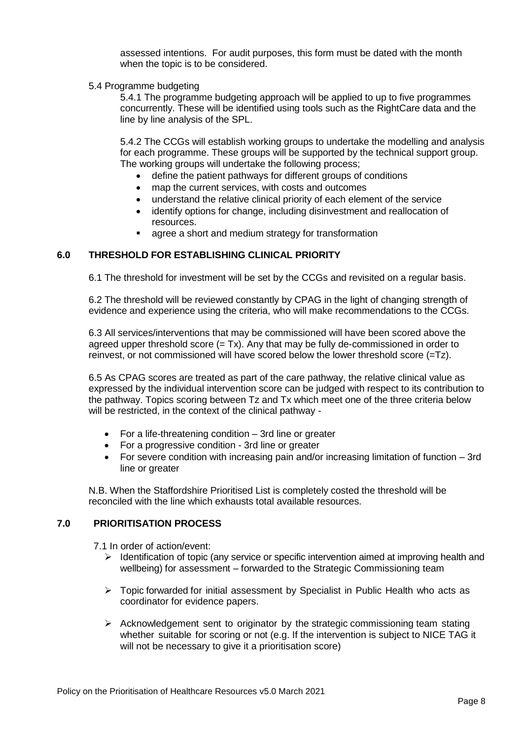assessed intentions. For audit purposes, this form must be dated with the month when the topic is to be considered.

## 5.4 Programme budgeting

5.4.1 The programme budgeting approach will be applied to up to five programmes concurrently. These will be identified using tools such as the RightCare data and the line by line analysis of the SPL.

5.4.2 The CCGs will establish working groups to undertake the modelling and analysis for each programme. These groups will be supported by the technical support group. The working groups will undertake the following process;

- define the patient pathways for different groups of conditions
- map the current services, with costs and outcomes
- understand the relative clinical priority of each element of the service
- identify options for change, including disinvestment and reallocation of resources.
- **agree a short and medium strategy for transformation**

# **6.0 THRESHOLD FOR ESTABLISHING CLINICAL PRIORITY**

6.1 The threshold for investment will be set by the CCGs and revisited on a regular basis.

6.2 The threshold will be reviewed constantly by CPAG in the light of changing strength of evidence and experience using the criteria, who will make recommendations to the CCGs.

6.3 All services/interventions that may be commissioned will have been scored above the agreed upper threshold score  $(= Tx)$ . Any that may be fully de-commissioned in order to reinvest, or not commissioned will have scored below the lower threshold score (=Tz).

6.5 As CPAG scores are treated as part of the care pathway, the relative clinical value as expressed by the individual intervention score can be judged with respect to its contribution to the pathway. Topics scoring between Tz and Tx which meet one of the three criteria below will be restricted, in the context of the clinical pathway -

- For a life-threatening condition 3rd line or greater
- For a progressive condition 3rd line or greater
- For severe condition with increasing pain and/or increasing limitation of function 3rd line or greater

N.B. When the Staffordshire Prioritised List is completely costed the threshold will be reconciled with the line which exhausts total available resources.

# **7.0 PRIORITISATION PROCESS**

7.1 In order of action/event:

- $\triangleright$  Identification of topic (any service or specific intervention aimed at improving health and wellbeing) for assessment – forwarded to the Strategic Commissioning team
- Topic forwarded for initial assessment by Specialist in Public Health who acts as coordinator for evidence papers.
- $\triangleright$  Acknowledgement sent to originator by the strategic commissioning team stating whether suitable for scoring or not (e.g. If the intervention is subject to NICE TAG it will not be necessary to give it a prioritisation score)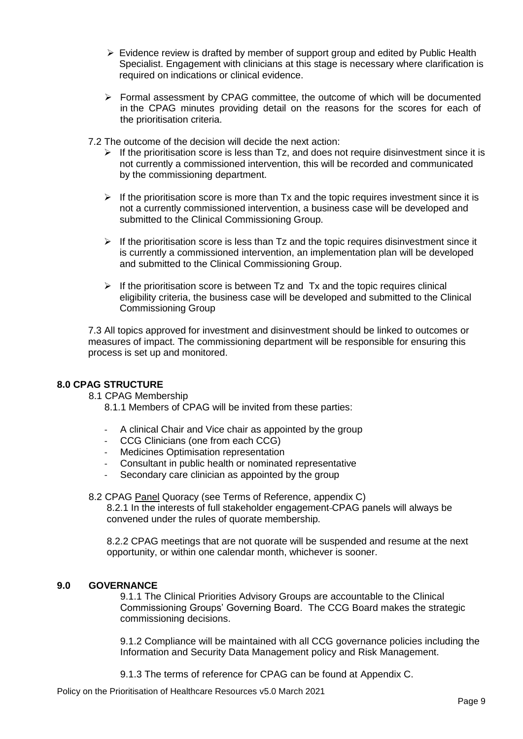- $\triangleright$  Evidence review is drafted by member of support group and edited by Public Health Specialist. Engagement with clinicians at this stage is necessary where clarification is required on indications or clinical evidence.
- $\triangleright$  Formal assessment by CPAG committee, the outcome of which will be documented in the CPAG minutes providing detail on the reasons for the scores for each of the prioritisation criteria.

7.2 The outcome of the decision will decide the next action:

- $\triangleright$  If the prioritisation score is less than Tz, and does not require disinvestment since it is not currently a commissioned intervention, this will be recorded and communicated by the commissioning department.
- $\triangleright$  If the prioritisation score is more than Tx and the topic requires investment since it is not a currently commissioned intervention, a business case will be developed and submitted to the Clinical Commissioning Group.
- $\triangleright$  If the prioritisation score is less than Tz and the topic requires disinvestment since it is currently a commissioned intervention, an implementation plan will be developed and submitted to the Clinical Commissioning Group.
- $\triangleright$  If the prioritisation score is between Tz and Tx and the topic requires clinical eligibility criteria, the business case will be developed and submitted to the Clinical Commissioning Group

7.3 All topics approved for investment and disinvestment should be linked to outcomes or measures of impact. The commissioning department will be responsible for ensuring this process is set up and monitored.

# **8.0 CPAG STRUCTURE**

8.1 CPAG Membership

8.1.1 Members of CPAG will be invited from these parties:

- A clinical Chair and Vice chair as appointed by the group
- CCG Clinicians (one from each CCG)
- Medicines Optimisation representation
- Consultant in public health or nominated representative
- Secondary care clinician as appointed by the group

8.2 CPAG Panel Quoracy (see Terms of Reference, appendix C) 8.2.1 In the interests of full stakeholder engagement CPAG panels will always be convened under the rules of quorate membership.

8.2.2 CPAG meetings that are not quorate will be suspended and resume at the next opportunity, or within one calendar month, whichever is sooner.

## **9.0 GOVERNANCE**

9.1.1 The Clinical Priorities Advisory Groups are accountable to the Clinical Commissioning Groups' Governing Board. The CCG Board makes the strategic commissioning decisions.

9.1.2 Compliance will be maintained with all CCG governance policies including the Information and Security Data Management policy and Risk Management.

9.1.3 The terms of reference for CPAG can be found at Appendix C.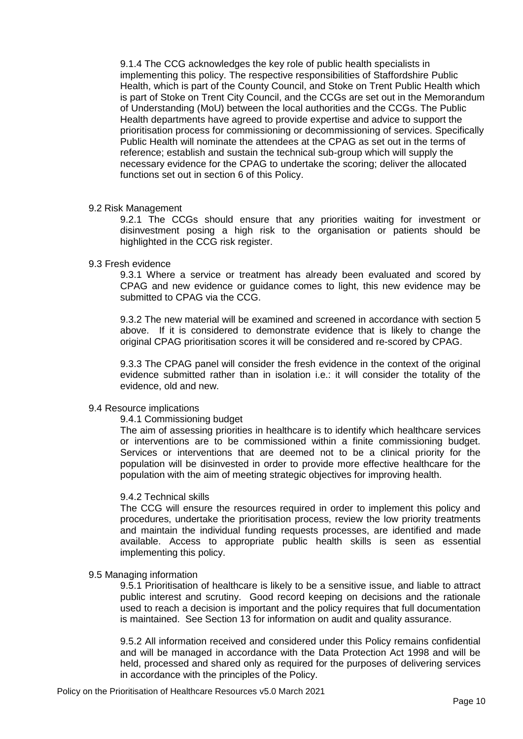9.1.4 The CCG acknowledges the key role of public health specialists in implementing this policy. The respective responsibilities of Staffordshire Public Health, which is part of the County Council, and Stoke on Trent Public Health which is part of Stoke on Trent City Council, and the CCGs are set out in the Memorandum of Understanding (MoU) between the local authorities and the CCGs. The Public Health departments have agreed to provide expertise and advice to support the prioritisation process for commissioning or decommissioning of services. Specifically Public Health will nominate the attendees at the CPAG as set out in the terms of reference; establish and sustain the technical sub-group which will supply the necessary evidence for the CPAG to undertake the scoring; deliver the allocated functions set out in section 6 of this Policy.

## 9.2 Risk Management

9.2.1 The CCGs should ensure that any priorities waiting for investment or disinvestment posing a high risk to the organisation or patients should be highlighted in the CCG risk register.

## 9.3 Fresh evidence

9.3.1 Where a service or treatment has already been evaluated and scored by CPAG and new evidence or guidance comes to light, this new evidence may be submitted to CPAG via the CCG.

9.3.2 The new material will be examined and screened in accordance with section 5 above. If it is considered to demonstrate evidence that is likely to change the original CPAG prioritisation scores it will be considered and re-scored by CPAG.

9.3.3 The CPAG panel will consider the fresh evidence in the context of the original evidence submitted rather than in isolation i.e.: it will consider the totality of the evidence, old and new.

## 9.4 Resource implications

#### 9.4.1 Commissioning budget

The aim of assessing priorities in healthcare is to identify which healthcare services or interventions are to be commissioned within a finite commissioning budget. Services or interventions that are deemed not to be a clinical priority for the population will be disinvested in order to provide more effective healthcare for the population with the aim of meeting strategic objectives for improving health.

## 9.4.2 Technical skills

The CCG will ensure the resources required in order to implement this policy and procedures, undertake the prioritisation process, review the low priority treatments and maintain the individual funding requests processes, are identified and made available. Access to appropriate public health skills is seen as essential implementing this policy.

## 9.5 Managing information

9.5.1 Prioritisation of healthcare is likely to be a sensitive issue, and liable to attract public interest and scrutiny. Good record keeping on decisions and the rationale used to reach a decision is important and the policy requires that full documentation is maintained. See Section 13 for information on audit and quality assurance.

9.5.2 All information received and considered under this Policy remains confidential and will be managed in accordance with the Data Protection Act 1998 and will be held, processed and shared only as required for the purposes of delivering services in accordance with the principles of the Policy.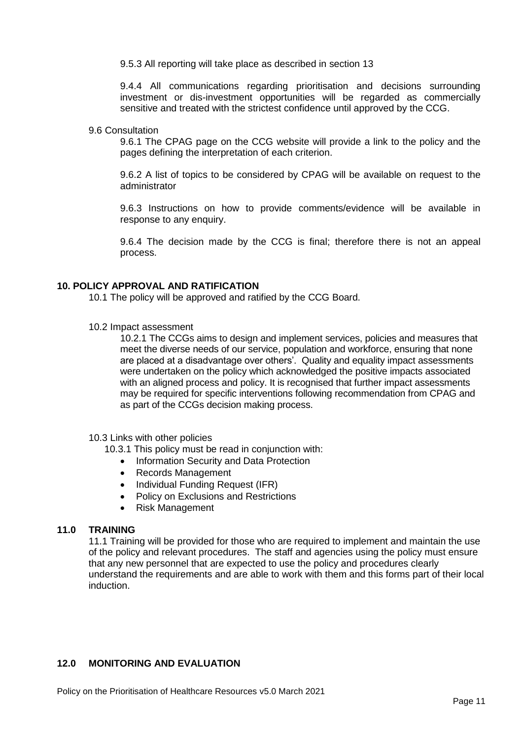9.5.3 All reporting will take place as described in section 13

9.4.4 All communications regarding prioritisation and decisions surrounding investment or dis-investment opportunities will be regarded as commercially sensitive and treated with the strictest confidence until approved by the CCG.

## 9.6 Consultation

9.6.1 The CPAG page on the CCG website will provide a link to the policy and the pages defining the interpretation of each criterion.

9.6.2 A list of topics to be considered by CPAG will be available on request to the administrator

9.6.3 Instructions on how to provide comments/evidence will be available in response to any enquiry.

9.6.4 The decision made by the CCG is final; therefore there is not an appeal process.

# **10. POLICY APPROVAL AND RATIFICATION**

10.1 The policy will be approved and ratified by the CCG Board.

10.2 Impact assessment

10.2.1 The CCGs aims to design and implement services, policies and measures that meet the diverse needs of our service, population and workforce, ensuring that none are placed at a disadvantage over others'. Quality and equality impact assessments were undertaken on the policy which acknowledged the positive impacts associated with an aligned process and policy. It is recognised that further impact assessments may be required for specific interventions following recommendation from CPAG and as part of the CCGs decision making process.

## 10.3 Links with other policies

10.3.1 This policy must be read in conjunction with:

- Information Security and Data Protection
- Records Management
- Individual Funding Request (IFR)
- Policy on Exclusions and Restrictions
- Risk Management

# **11.0 TRAINING**

11.1 Training will be provided for those who are required to implement and maintain the use of the policy and relevant procedures. The staff and agencies using the policy must ensure that any new personnel that are expected to use the policy and procedures clearly understand the requirements and are able to work with them and this forms part of their local induction.

# **12.0 MONITORING AND EVALUATION**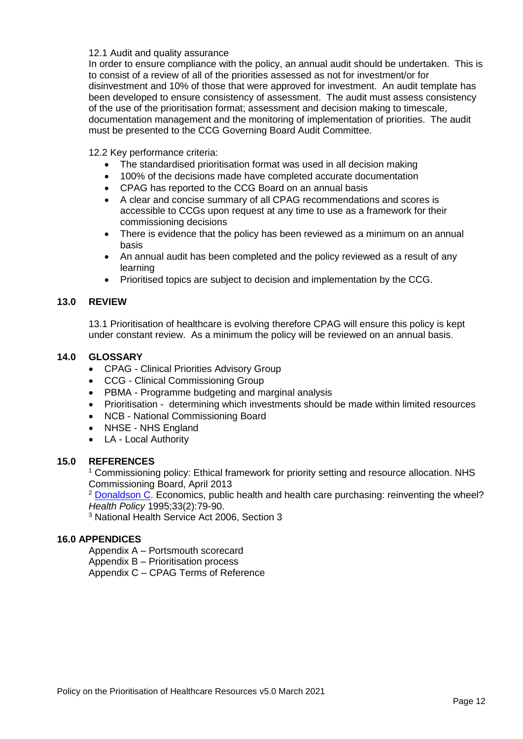## 12.1 Audit and quality assurance

In order to ensure compliance with the policy, an annual audit should be undertaken. This is to consist of a review of all of the priorities assessed as not for investment/or for disinvestment and 10% of those that were approved for investment. An audit template has been developed to ensure consistency of assessment. The audit must assess consistency of the use of the prioritisation format; assessment and decision making to timescale, documentation management and the monitoring of implementation of priorities. The audit must be presented to the CCG Governing Board Audit Committee.

12.2 Key performance criteria:

- The standardised prioritisation format was used in all decision making
- 100% of the decisions made have completed accurate documentation
- CPAG has reported to the CCG Board on an annual basis
- A clear and concise summary of all CPAG recommendations and scores is accessible to CCGs upon request at any time to use as a framework for their commissioning decisions
- There is evidence that the policy has been reviewed as a minimum on an annual basis
- An annual audit has been completed and the policy reviewed as a result of any learning
- Prioritised topics are subject to decision and implementation by the CCG.

## **13.0 REVIEW**

13.1 Prioritisation of healthcare is evolving therefore CPAG will ensure this policy is kept under constant review. As a minimum the policy will be reviewed on an annual basis.

## **14.0 GLOSSARY**

- CPAG Clinical Priorities Advisory Group
- CCG Clinical Commissioning Group
- PBMA Programme budgeting and marginal analysis
- Prioritisation determining which investments should be made within limited resources
- NCB National Commissioning Board
- NHSE NHS England
- LA Local Authority

## **15.0 REFERENCES**

<sup>1</sup> Commissioning policy: Ethical framework for priority setting and resource allocation. NHS Commissioning Board, April 2013

<sup>2</sup> [Donaldson C.](http://www.ncbi.nlm.nih.gov/pubmed?term=Donaldson%20C%5BAuthor%5D&cauthor=true&cauthor_uid=10144440) Economics, public health and health care purchasing: reinventing the wheel? *Health Policy* 1995;33(2):79-90.

<sup>3</sup> National Health Service Act 2006, Section 3

# **16.0 APPENDICES**

Appendix A – Portsmouth scorecard

Appendix B – Prioritisation process

Appendix C – CPAG Terms of Reference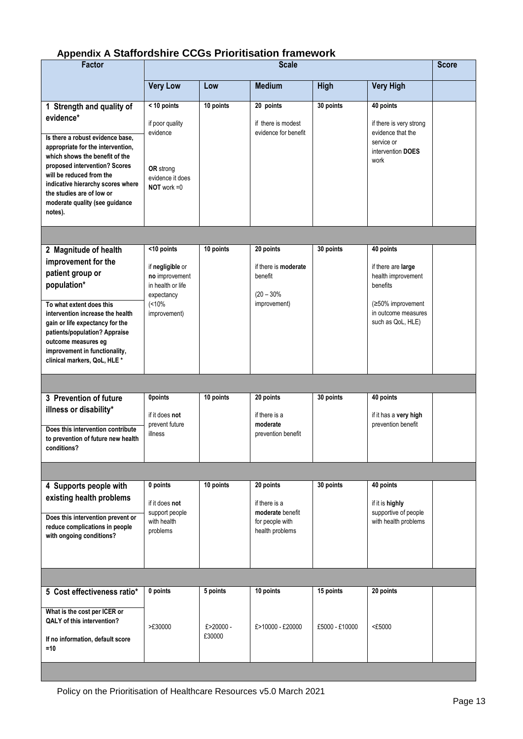# **Appendix A Staffordshire CCGs Prioritisation framework**

| <b>Factor</b>                                                                                                                                                                                                                                                                                                                 | <b>Scale</b>                                                                                                |                     |                                                                                      |                | <b>Score</b>                                                                                                  |  |
|-------------------------------------------------------------------------------------------------------------------------------------------------------------------------------------------------------------------------------------------------------------------------------------------------------------------------------|-------------------------------------------------------------------------------------------------------------|---------------------|--------------------------------------------------------------------------------------|----------------|---------------------------------------------------------------------------------------------------------------|--|
|                                                                                                                                                                                                                                                                                                                               | <b>Very Low</b>                                                                                             | Low                 | <b>Medium</b>                                                                        | <b>High</b>    | <b>Very High</b>                                                                                              |  |
| 1 Strength and quality of<br>evidence*<br>Is there a robust evidence base,<br>appropriate for the intervention,<br>which shows the benefit of the<br>proposed intervention? Scores<br>will be reduced from the<br>indicative hierarchy scores where<br>the studies are of low or<br>moderate quality (see guidance<br>notes). | < 10 points<br>if poor quality<br>evidence<br>OR strong<br>evidence it does<br>$NOT$ work = $0$             | 10 points           | 20 points<br>if there is modest<br>evidence for benefit                              | 30 points      | 40 points<br>if there is very strong<br>evidence that the<br>service or<br>intervention DOES<br>work          |  |
|                                                                                                                                                                                                                                                                                                                               |                                                                                                             |                     |                                                                                      |                |                                                                                                               |  |
| 2 Magnitude of health<br>improvement for the<br>patient group or<br>population*<br>To what extent does this<br>intervention increase the health                                                                                                                                                                               | <10 points<br>if negligible or<br>no improvement<br>in health or life<br>expectancy<br>(10%<br>improvement) | 10 points           | 20 points<br>if there is <b>moderate</b><br>benefit<br>$(20 - 30\%$<br>improvement)  | 30 points      | 40 points<br>if there are large<br>health improvement<br>benefits<br>(≥50% improvement<br>in outcome measures |  |
| gain or life expectancy for the<br>patients/population? Appraise<br>outcome measures eg<br>improvement in functionality,<br>clinical markers, QoL, HLE *                                                                                                                                                                      |                                                                                                             |                     |                                                                                      |                | such as QoL, HLE)                                                                                             |  |
|                                                                                                                                                                                                                                                                                                                               |                                                                                                             |                     |                                                                                      |                |                                                                                                               |  |
| 3 Prevention of future<br>illness or disability*<br>Does this intervention contribute<br>to prevention of future new health<br>conditions?                                                                                                                                                                                    | <b>Opoints</b><br>if it does not<br>prevent future<br>illness                                               | 10 points           | 20 points<br>if there is a<br>moderate<br>prevention benefit                         | 30 points      | 40 points<br>if it has a very high<br>prevention benefit                                                      |  |
|                                                                                                                                                                                                                                                                                                                               |                                                                                                             |                     |                                                                                      |                |                                                                                                               |  |
| 4 Supports people with<br>existing health problems<br>Does this intervention prevent or<br>reduce complications in people<br>with ongoing conditions?                                                                                                                                                                         | 0 points<br>if it does not<br>support people<br>with health<br>problems                                     | 10 points           | 20 points<br>if there is a<br>moderate benefit<br>for people with<br>health problems | 30 points      | 40 points<br>if it is highly<br>supportive of people<br>with health problems                                  |  |
|                                                                                                                                                                                                                                                                                                                               |                                                                                                             |                     |                                                                                      |                |                                                                                                               |  |
| 5 Cost effectiveness ratio*                                                                                                                                                                                                                                                                                                   | 0 points                                                                                                    | 5 points            | 10 points                                                                            | 15 points      | 20 points                                                                                                     |  |
| What is the cost per ICER or<br>QALY of this intervention?<br>If no information, default score<br>$=10$                                                                                                                                                                                                                       | >£30000                                                                                                     | £>20000 -<br>£30000 | £>10000 - £20000                                                                     | £5000 - £10000 | <£5000                                                                                                        |  |
|                                                                                                                                                                                                                                                                                                                               |                                                                                                             |                     |                                                                                      |                |                                                                                                               |  |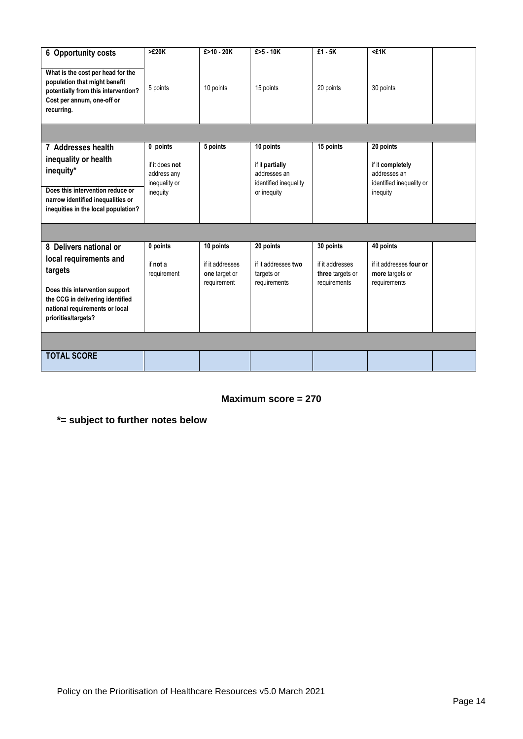| 6 Opportunity costs                                                                                                                                   | >E20K                                                      | £>10 - 20K                                      | $£ > 5 - 10K$                                                         | $£1 - 5K$                                           | <£1K                                                                      |  |
|-------------------------------------------------------------------------------------------------------------------------------------------------------|------------------------------------------------------------|-------------------------------------------------|-----------------------------------------------------------------------|-----------------------------------------------------|---------------------------------------------------------------------------|--|
| What is the cost per head for the<br>population that might benefit<br>potentially from this intervention?<br>Cost per annum, one-off or<br>recurring. | 5 points                                                   | 10 points                                       | 15 points                                                             | 20 points                                           | 30 points                                                                 |  |
|                                                                                                                                                       |                                                            |                                                 |                                                                       |                                                     |                                                                           |  |
| 7 Addresses health<br>inequality or health<br>inequity*                                                                                               | 0 points<br>if it does not<br>address any<br>inequality or | 5 points                                        | 10 points<br>if it partially<br>addresses an<br>identified inequality | 15 points                                           | 20 points<br>if it completely<br>addresses an<br>identified inequality or |  |
| Does this intervention reduce or<br>narrow identified inequalities or<br>inequities in the local population?                                          | inequity                                                   |                                                 | or inequity                                                           |                                                     | inequity                                                                  |  |
|                                                                                                                                                       |                                                            |                                                 |                                                                       |                                                     |                                                                           |  |
| 8 Delivers national or                                                                                                                                | 0 points                                                   | 10 points                                       | 20 points                                                             | 30 points                                           | 40 points                                                                 |  |
| local requirements and<br>targets                                                                                                                     | if not a<br>requirement                                    | if it addresses<br>one target or<br>requirement | if it addresses two<br>targets or<br>requirements                     | if it addresses<br>three targets or<br>requirements | if it addresses four or<br>more targets or<br>requirements                |  |
| Does this intervention support<br>the CCG in delivering identified<br>national requirements or local<br>priorities/targets?                           |                                                            |                                                 |                                                                       |                                                     |                                                                           |  |
|                                                                                                                                                       |                                                            |                                                 |                                                                       |                                                     |                                                                           |  |
| <b>TOTAL SCORE</b>                                                                                                                                    |                                                            |                                                 |                                                                       |                                                     |                                                                           |  |

**Maximum score = 270**

**\*= subject to further notes below**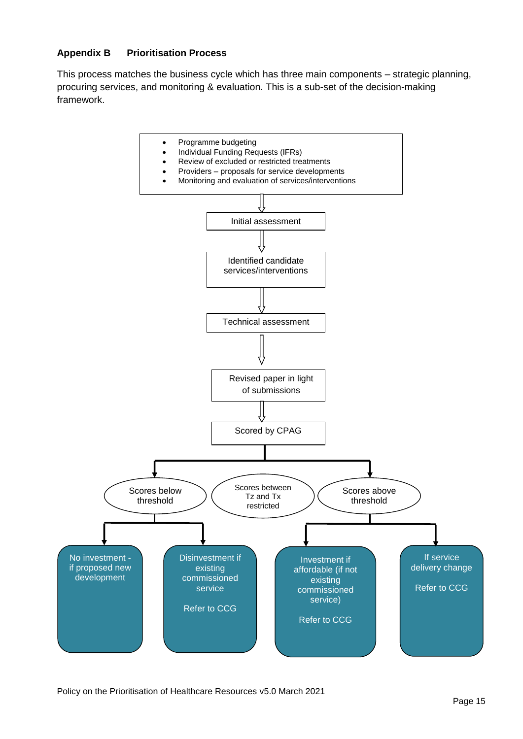# **Appendix B Prioritisation Process**

This process matches the business cycle which has three main components – strategic planning, procuring services, and monitoring & evaluation. This is a sub-set of the decision-making framework.

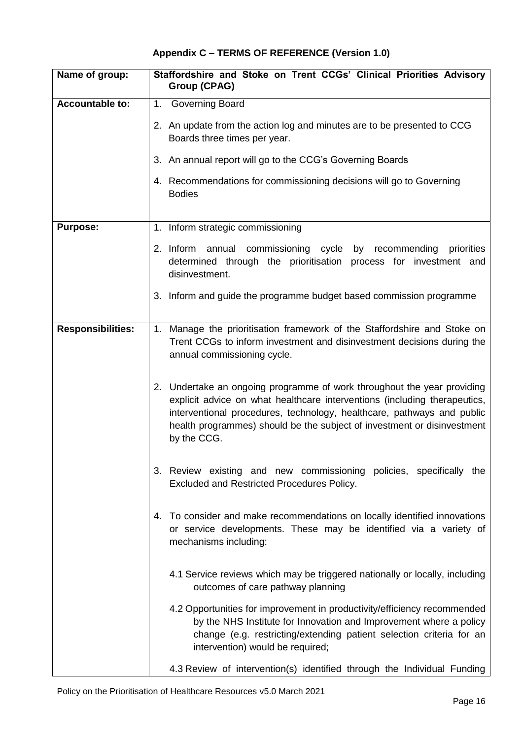# **Appendix C – TERMS OF REFERENCE (Version 1.0)**

| Name of group:           | Staffordshire and Stoke on Trent CCGs' Clinical Priorities Advisory<br><b>Group (CPAG)</b>                                                                                                                                                                                                                               |
|--------------------------|--------------------------------------------------------------------------------------------------------------------------------------------------------------------------------------------------------------------------------------------------------------------------------------------------------------------------|
| Accountable to:          | 1.<br><b>Governing Board</b>                                                                                                                                                                                                                                                                                             |
|                          | 2. An update from the action log and minutes are to be presented to CCG<br>Boards three times per year.                                                                                                                                                                                                                  |
|                          | 3. An annual report will go to the CCG's Governing Boards                                                                                                                                                                                                                                                                |
|                          | 4. Recommendations for commissioning decisions will go to Governing<br><b>Bodies</b>                                                                                                                                                                                                                                     |
| <b>Purpose:</b>          | 1. Inform strategic commissioning                                                                                                                                                                                                                                                                                        |
|                          | 2. Inform annual commissioning cycle by recommending<br>priorities<br>determined through the prioritisation process for investment and<br>disinvestment.                                                                                                                                                                 |
|                          | 3. Inform and guide the programme budget based commission programme                                                                                                                                                                                                                                                      |
| <b>Responsibilities:</b> | Manage the prioritisation framework of the Staffordshire and Stoke on<br>1.<br>Trent CCGs to inform investment and disinvestment decisions during the<br>annual commissioning cycle.                                                                                                                                     |
|                          | 2. Undertake an ongoing programme of work throughout the year providing<br>explicit advice on what healthcare interventions (including therapeutics,<br>interventional procedures, technology, healthcare, pathways and public<br>health programmes) should be the subject of investment or disinvestment<br>by the CCG. |
|                          | Review existing and new commissioning policies, specifically<br>3.<br>the<br>Excluded and Restricted Procedures Policy.                                                                                                                                                                                                  |
|                          | To consider and make recommendations on locally identified innovations<br>4.<br>or service developments. These may be identified via a variety of<br>mechanisms including:                                                                                                                                               |
|                          | 4.1 Service reviews which may be triggered nationally or locally, including<br>outcomes of care pathway planning                                                                                                                                                                                                         |
|                          | 4.2 Opportunities for improvement in productivity/efficiency recommended<br>by the NHS Institute for Innovation and Improvement where a policy<br>change (e.g. restricting/extending patient selection criteria for an<br>intervention) would be required;                                                               |
|                          | 4.3 Review of intervention(s) identified through the Individual Funding                                                                                                                                                                                                                                                  |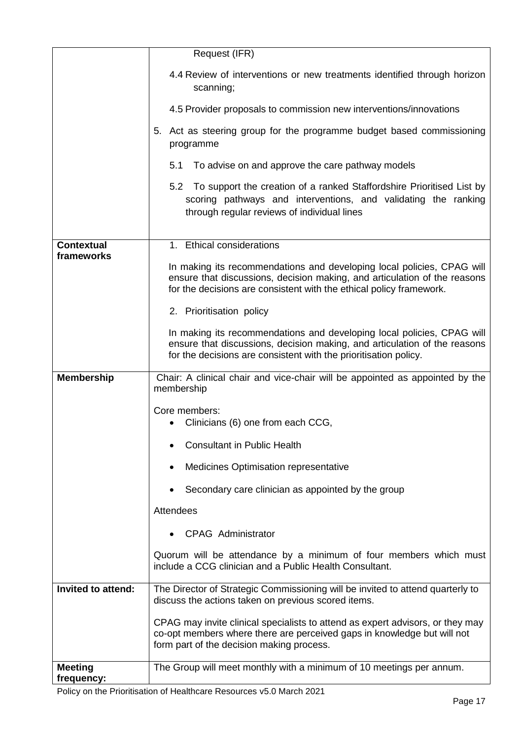|                    | Request (IFR)                                                                                                                                                                                                              |
|--------------------|----------------------------------------------------------------------------------------------------------------------------------------------------------------------------------------------------------------------------|
|                    | 4.4 Review of interventions or new treatments identified through horizon<br>scanning;                                                                                                                                      |
|                    | 4.5 Provider proposals to commission new interventions/innovations                                                                                                                                                         |
|                    | 5. Act as steering group for the programme budget based commissioning<br>programme                                                                                                                                         |
|                    | 5.1 To advise on and approve the care pathway models                                                                                                                                                                       |
|                    | 5.2 To support the creation of a ranked Staffordshire Prioritised List by<br>scoring pathways and interventions, and validating the ranking<br>through regular reviews of individual lines                                 |
| <b>Contextual</b>  | 1. Ethical considerations                                                                                                                                                                                                  |
| frameworks         | In making its recommendations and developing local policies, CPAG will<br>ensure that discussions, decision making, and articulation of the reasons<br>for the decisions are consistent with the ethical policy framework. |
|                    | 2. Prioritisation policy                                                                                                                                                                                                   |
|                    | In making its recommendations and developing local policies, CPAG will<br>ensure that discussions, decision making, and articulation of the reasons<br>for the decisions are consistent with the prioritisation policy.    |
| <b>Membership</b>  | Chair: A clinical chair and vice-chair will be appointed as appointed by the<br>membership                                                                                                                                 |
|                    | Core members:<br>Clinicians (6) one from each CCG,                                                                                                                                                                         |
|                    |                                                                                                                                                                                                                            |
|                    | <b>Consultant in Public Health</b>                                                                                                                                                                                         |
|                    | Medicines Optimisation representative                                                                                                                                                                                      |
|                    | Secondary care clinician as appointed by the group                                                                                                                                                                         |
|                    | Attendees                                                                                                                                                                                                                  |
|                    | <b>CPAG Administrator</b>                                                                                                                                                                                                  |
|                    | Quorum will be attendance by a minimum of four members which must<br>include a CCG clinician and a Public Health Consultant.                                                                                               |
| Invited to attend: | The Director of Strategic Commissioning will be invited to attend quarterly to<br>discuss the actions taken on previous scored items.                                                                                      |
|                    | CPAG may invite clinical specialists to attend as expert advisors, or they may<br>co-opt members where there are perceived gaps in knowledge but will not<br>form part of the decision making process.                     |